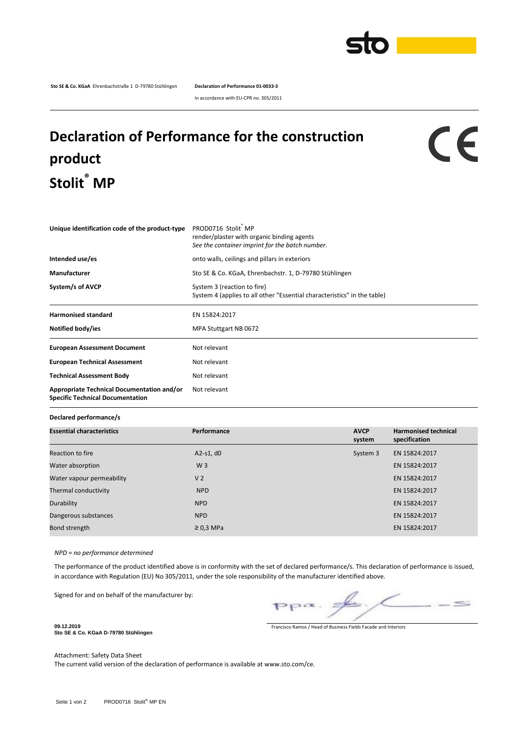

**Sto SE & Co. KGaA** Ehrenbachstraße 1 D-79780 Stühlingen **Declaration of Performance 01-0033-3**

In accordance with EU-CPR no. 305/2011

## **Declaration of Performance for the construction product Stolit® MP**

## CE

| Unique identification code of the product-type                                        | PROD0716 Stolit MP<br>render/plaster with organic binding agents<br>See the container imprint for the batch number. |  |  |  |
|---------------------------------------------------------------------------------------|---------------------------------------------------------------------------------------------------------------------|--|--|--|
| Intended use/es                                                                       | onto walls, ceilings and pillars in exteriors                                                                       |  |  |  |
| Manufacturer                                                                          | Sto SE & Co. KGaA, Ehrenbachstr. 1, D-79780 Stühlingen                                                              |  |  |  |
| System/s of AVCP                                                                      | System 3 (reaction to fire)<br>System 4 (applies to all other "Essential characteristics" in the table)             |  |  |  |
| <b>Harmonised standard</b>                                                            | EN 15824:2017                                                                                                       |  |  |  |
| Notified body/ies                                                                     | MPA Stuttgart NB 0672                                                                                               |  |  |  |
| <b>European Assessment Document</b>                                                   | Not relevant                                                                                                        |  |  |  |
| <b>European Technical Assessment</b>                                                  | Not relevant                                                                                                        |  |  |  |
| <b>Technical Assessment Body</b>                                                      | Not relevant                                                                                                        |  |  |  |
| Appropriate Technical Documentation and/or<br><b>Specific Technical Documentation</b> | Not relevant                                                                                                        |  |  |  |

**Declared performance/s**

| <b>Essential characteristics</b> | Performance    | <b>AVCP</b><br>system | <b>Harmonised technical</b><br>specification |
|----------------------------------|----------------|-----------------------|----------------------------------------------|
| Reaction to fire                 | A2-s1, $d0$    | System 3              | EN 15824:2017                                |
| Water absorption                 | W <sub>3</sub> |                       | EN 15824:2017                                |
| Water vapour permeability        | V <sub>2</sub> |                       | EN 15824:2017                                |
| Thermal conductivity             | <b>NPD</b>     |                       | EN 15824:2017                                |
| Durability                       | <b>NPD</b>     |                       | EN 15824:2017                                |
| Dangerous substances             | <b>NPD</b>     |                       | EN 15824:2017                                |
| Bond strength                    | $\geq$ 0,3 MPa |                       | EN 15824:2017                                |

*NPD = no performance determined*

The performance of the product identified above is in conformity with the set of declared performance/s. This declaration of performance is issued, in accordance with Regulation (EU) No 305/2011, under the sole responsibility of the manufacturer identified above.

Signed for and on behalf of the manufacturer by:

 $\leq$  $pp\alpha$ .

Francisco Ramos / Head of Business Fields Facade and Interiors

**Sto SE & Co. KGaA D-79780 Stühlingen**

**09.12.2019**

Attachment: Safety Data Sheet

The current valid version of the declaration of performance is available at www.sto.com/ce.